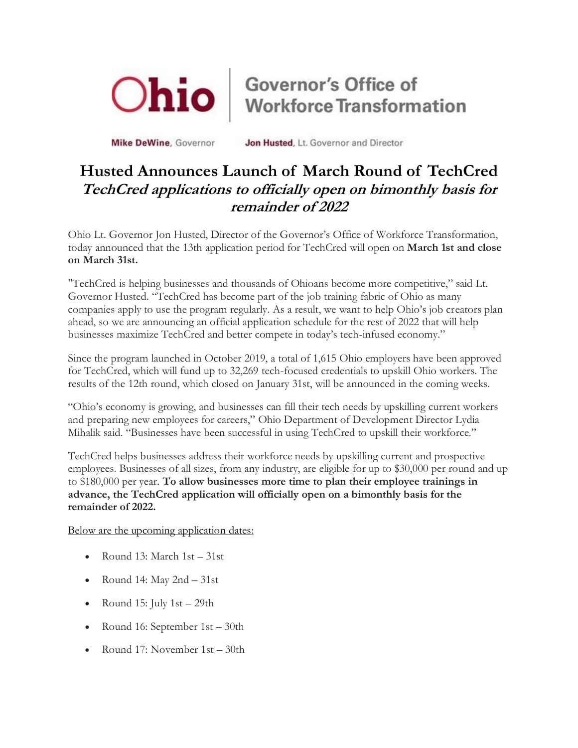

Mike DeWine, Governor

Governor's Office of **Workforce Transformation** 

Jon Husted, Lt. Governor and Director

## **Husted Announces Launch of March Round of TechCred TechCred applications to officially open on bimonthly basis for remainder of 2022**

Ohio Lt. Governor Jon Husted, Director of the Governor's Office of Workforce Transformation, today announced that the 13th application period for TechCred will open on **March 1st and close on March 31st.**

"TechCred is helping businesses and thousands of Ohioans become more competitive," said Lt. Governor Husted. "TechCred has become part of the job training fabric of Ohio as many companies apply to use the program regularly. As a result, we want to help Ohio's job creators plan ahead, so we are announcing an official application schedule for the rest of 2022 that will help businesses maximize TechCred and better compete in today's tech-infused economy."

Since the program launched in October 2019, a total of 1,615 Ohio employers have been approved for TechCred, which will fund up to 32,269 tech-focused credentials to upskill Ohio workers. The results of the 12th round, which closed on January 31st, will be announced in the coming weeks.

"Ohio's economy is growing, and businesses can fill their tech needs by upskilling current workers and preparing new employees for careers," Ohio Department of Development Director Lydia Mihalik said. "Businesses have been successful in using TechCred to upskill their workforce."

TechCred helps businesses address their workforce needs by upskilling current and prospective employees. Businesses of all sizes, from any industry, are eligible for up to \$30,000 per round and up to \$180,000 per year. **To allow businesses more time to plan their employee trainings in advance, the TechCred application will officially open on a bimonthly basis for the remainder of 2022.** 

Below are the upcoming application dates:

- Round 13: March 1st 31st
- Round 14: May 2nd 31st
- Round 15: July  $1st 29th$
- Round 16: September 1st 30th
- Round 17: November 1st 30th